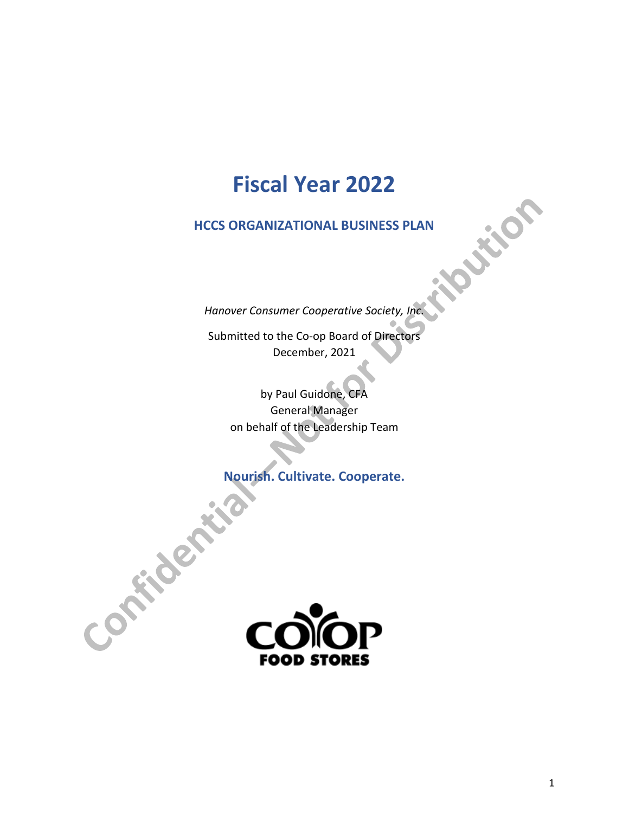## **Fiscal Year 2022**

**HCCS ORGANIZATIONAL BUSINESS PLAN** 

*Hanover Consumer Cooperative Society, Inc.*

Submitted to the Co-op Board of Directors December, 2021

by Paul Guidone, CFA General Manager on behalf of the Leadership Team

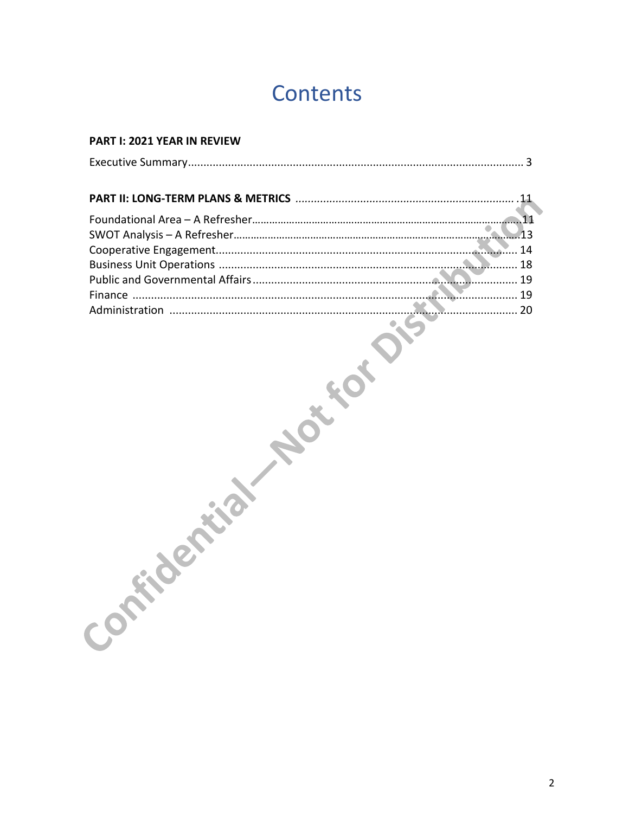# Contents

#### **PART I: 2021 YEAR IN REVIEW**

| <b>Participes</b>           |
|-----------------------------|
|                             |
|                             |
|                             |
|                             |
| $\mathcal{C}^{\mathcal{O}}$ |
|                             |
|                             |
|                             |
|                             |
|                             |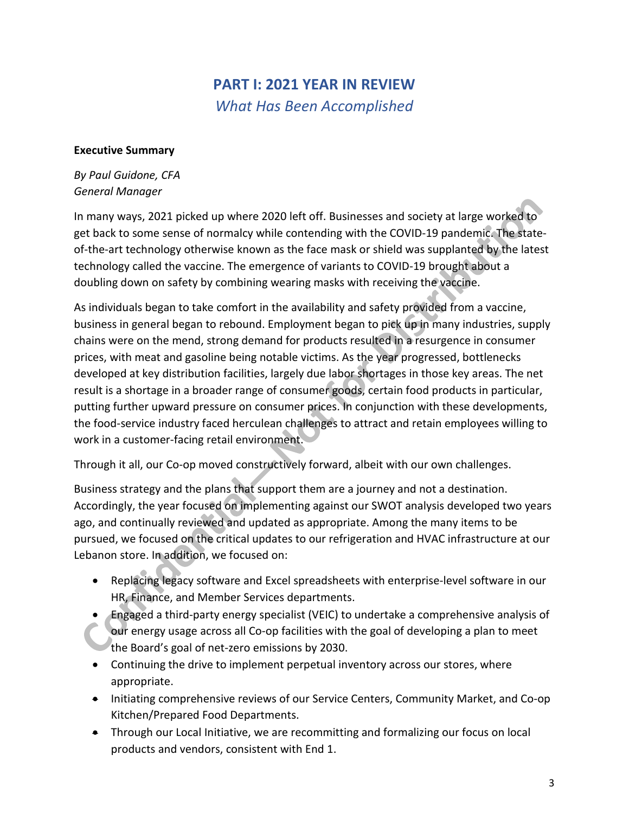## **PART I: 2021 YEAR IN REVIEW** *What Has Been Accomplished*

#### **Executive Summary**

#### *By Paul Guidone, CFA General Manager*

In many ways, 2021 picked up where 2020 left off. Businesses and society at large worked to get back to some sense of normalcy while contending with the COVID-19 pandemic. The stateof-the-art technology otherwise known as the face mask or shield was supplanted by the latest technology called the vaccine. The emergence of variants to COVID-19 brought about a doubling down on safety by combining wearing masks with receiving the vaccine.

As individuals began to take comfort in the availability and safety provided from a vaccine, business in general began to rebound. Employment began to pick up in many industries, supply chains were on the mend, strong demand for products resulted in a resurgence in consumer prices, with meat and gasoline being notable victims. As the year progressed, bottlenecks developed at key distribution facilities, largely due labor shortages in those key areas. The net result is a shortage in a broader range of consumer goods, certain food products in particular, putting further upward pressure on consumer prices. In conjunction with these developments, the food-service industry faced herculean challenges to attract and retain employees willing to work in a customer-facing retail environment.

Through it all, our Co-op moved constructively forward, albeit with our own challenges.

Business strategy and the plans that support them are a journey and not a destination. Accordingly, the year focused on implementing against our SWOT analysis developed two years ago, and continually reviewed and updated as appropriate. Among the many items to be pursued, we focused on the critical updates to our refrigeration and HVAC infrastructure at our Lebanon store. In addition, we focused on:

- Replacing legacy software and Excel spreadsheets with enterprise-level software in our HR, Finance, and Member Services departments.
- Engaged a third-party energy specialist (VEIC) to undertake a comprehensive analysis of our energy usage across all Co-op facilities with the goal of developing a plan to meet the Board's goal of net-zero emissions by 2030.
- Continuing the drive to implement perpetual inventory across our stores, where appropriate.
- Initiating comprehensive reviews of our Service Centers, Community Market, and Co-op Kitchen/Prepared Food Departments.
- Through our Local Initiative, we are recommitting and formalizing our focus on local products and vendors, consistent with End 1.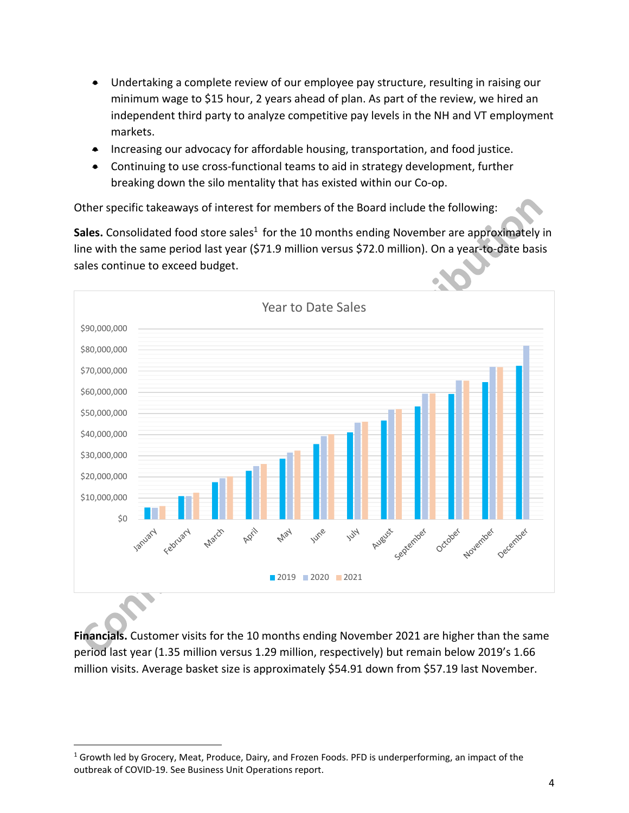- Undertaking a complete review of our employee pay structure, resulting in raising our minimum wage to \$15 hour, 2 years ahead of plan. As part of the review, we hired an independent third party to analyze competitive pay levels in the NH and VT employment markets.
- Increasing our advocacy for affordable housing, transportation, and food justice.
- Continuing to use cross-functional teams to aid in strategy development, further breaking down the silo mentality that has existed within our Co-op.

Other specific takeaways of interest for members of the Board include the following:

**Sales.** Consolidated food store sales<sup>1</sup> for the 10 months ending November are approximately in line with the same period last year (\$71.9 million versus \$72.0 million). On a year-to-date basis sales continue to exceed budget.



**Financials.** Customer visits for the 10 months ending November 2021 are higher than the same period last year (1.35 million versus 1.29 million, respectively) but remain below 2019's 1.66 million visits. Average basket size is approximately \$54.91 down from \$57.19 last November.

 $\overline{a}$ 

 $1$  Growth led by Grocery, Meat, Produce, Dairy, and Frozen Foods. PFD is underperforming, an impact of the outbreak of COVID-19. See Business Unit Operations report.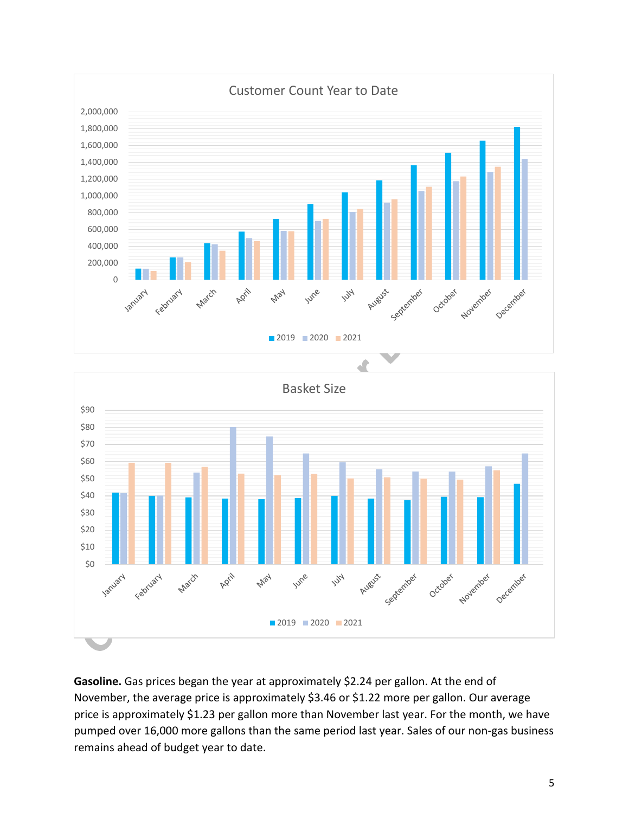



**Gasoline.** Gas prices began the year at approximately \$2.24 per gallon. At the end of November, the average price is approximately \$3.46 or \$1.22 more per gallon. Our average price is approximately \$1.23 per gallon more than November last year. For the month, we have pumped over 16,000 more gallons than the same period last year. Sales of our non-gas business remains ahead of budget year to date.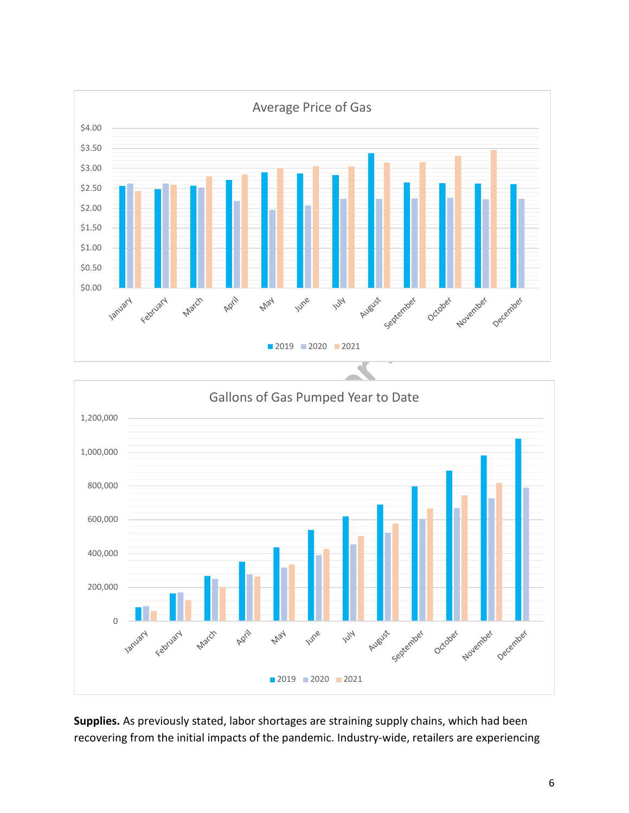



**Supplies.** As previously stated, labor shortages are straining supply chains, which had been recovering from the initial impacts of the pandemic. Industry-wide, retailers are experiencing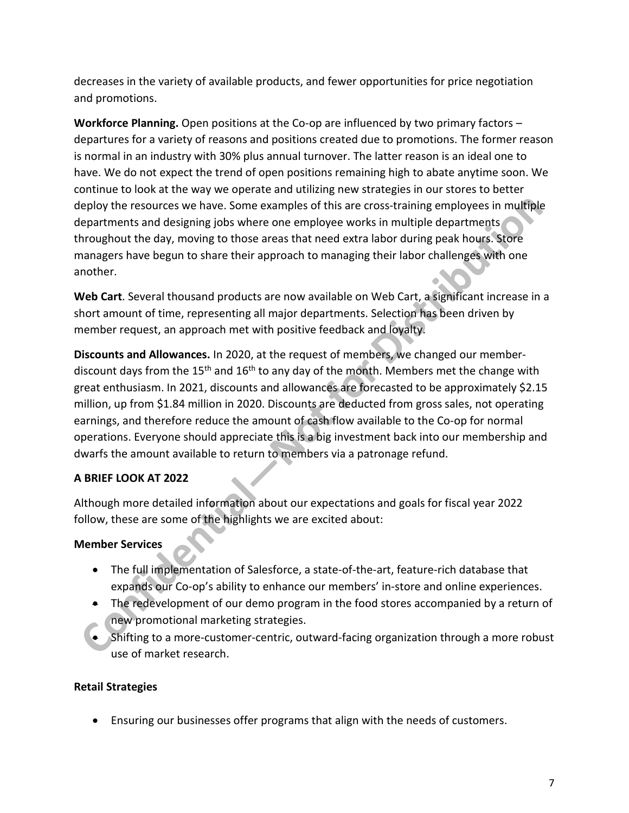decreases in the variety of available products, and fewer opportunities for price negotiation and promotions.

**Workforce Planning.** Open positions at the Co-op are influenced by two primary factors – departures for a variety of reasons and positions created due to promotions. The former reason is normal in an industry with 30% plus annual turnover. The latter reason is an ideal one to have. We do not expect the trend of open positions remaining high to abate anytime soon. We continue to look at the way we operate and utilizing new strategies in our stores to better deploy the resources we have. Some examples of this are cross-training employees in multiple departments and designing jobs where one employee works in multiple departments throughout the day, moving to those areas that need extra labor during peak hours. Store managers have begun to share their approach to managing their labor challenges with one another.

**Web Cart**. Several thousand products are now available on Web Cart, a significant increase in a short amount of time, representing all major departments. Selection has been driven by member request, an approach met with positive feedback and loyalty.

**Discounts and Allowances.** In 2020, at the request of members, we changed our memberdiscount days from the  $15<sup>th</sup>$  and  $16<sup>th</sup>$  to any day of the month. Members met the change with great enthusiasm. In 2021, discounts and allowances are forecasted to be approximately \$2.15 million, up from \$1.84 million in 2020. Discounts are deducted from gross sales, not operating earnings, and therefore reduce the amount of cash flow available to the Co-op for normal operations. Everyone should appreciate this is a big investment back into our membership and dwarfs the amount available to return to members via a patronage refund.

### **A BRIEF LOOK AT 2022**

Although more detailed information about our expectations and goals for fiscal year 2022 follow, these are some of the highlights we are excited about:

#### **Member Services**

- The full implementation of Salesforce, a state-of-the-art, feature-rich database that expands our Co-op's ability to enhance our members' in-store and online experiences.
- The redevelopment of our demo program in the food stores accompanied by a return of new promotional marketing strategies.
- Shifting to a more-customer-centric, outward-facing organization through a more robust use of market research.

#### **Retail Strategies**

• Ensuring our businesses offer programs that align with the needs of customers.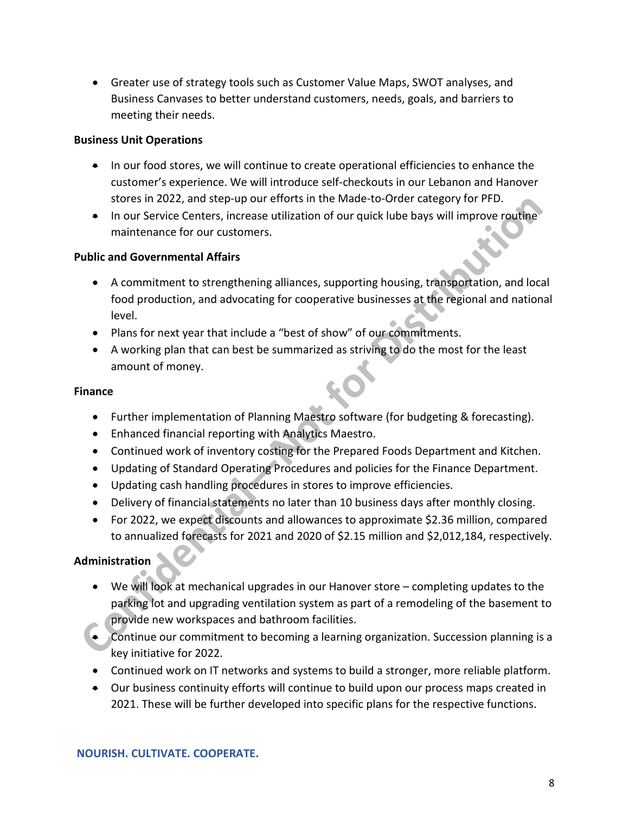• Greater use of strategy tools such as Customer Value Maps, SWOT analyses, and Business Canvases to better understand customers, needs, goals, and barriers to meeting their needs.

#### **Business Unit Operations**

- In our food stores, we will continue to create operational efficiencies to enhance the customer's experience. We will introduce self-checkouts in our Lebanon and Hanover stores in 2022, and step-up our efforts in the Made-to-Order category for PFD.
- In our Service Centers, increase utilization of our quick lube bays will improve routine maintenance for our customers.

#### **Public and Governmental Affairs**

- A commitment to strengthening alliances, supporting housing, transportation, and local food production, and advocating for cooperative businesses at the regional and national level.
- Plans for next year that include a "best of show" of our commitments.
- A working plan that can best be summarized as striving to do the most for the least amount of money.

#### **Finance**

- Further implementation of Planning Maestro software (for budgeting & forecasting).
- Enhanced financial reporting with Analytics Maestro.
- Continued work of inventory costing for the Prepared Foods Department and Kitchen.
- Updating of Standard Operating Procedures and policies for the Finance Department.
- Updating cash handling procedures in stores to improve efficiencies.
- Delivery of financial statements no later than 10 business days after monthly closing.
- For 2022, we expect discounts and allowances to approximate \$2.36 million, compared to annualized forecasts for 2021 and 2020 of \$2.15 million and \$2,012,184, respectively.

#### **Administration**

- We will look at mechanical upgrades in our Hanover store completing updates to the parking lot and upgrading ventilation system as part of a remodeling of the basement to provide new workspaces and bathroom facilities.
- Continue our commitment to becoming a learning organization. Succession planning is a key initiative for 2022.
- Continued work on IT networks and systems to build a stronger, more reliable platform.
- Our business continuity efforts will continue to build upon our process maps created in 2021. These will be further developed into specific plans for the respective functions.

**NOURISH. CULTIVATE. COOPERATE.**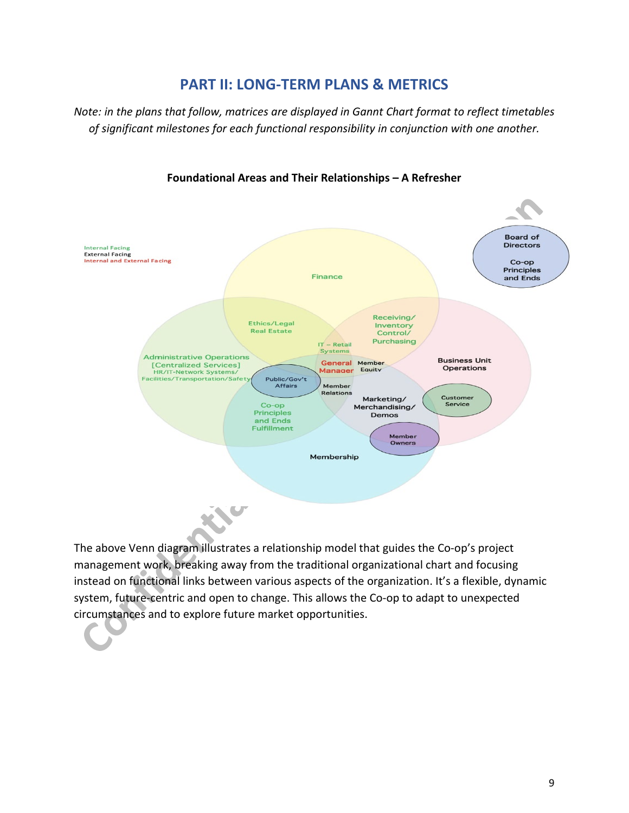## **PART II: LONG-TERM PLANS & METRICS**

*Note: in the plans that follow, matrices are displayed in Gannt Chart format to reflect timetables of significant milestones for each functional responsibility in conjunction with one another.* 



#### **Foundational Areas and Their Relationships – A Refresher**

The above Venn diagram illustrates a relationship model that guides the Co-op's project management work, breaking away from the traditional organizational chart and focusing instead on functional links between various aspects of the organization. It's a flexible, dynamic system, future-centric and open to change. This allows the Co-op to adapt to unexpected circumstances and to explore future market opportunities.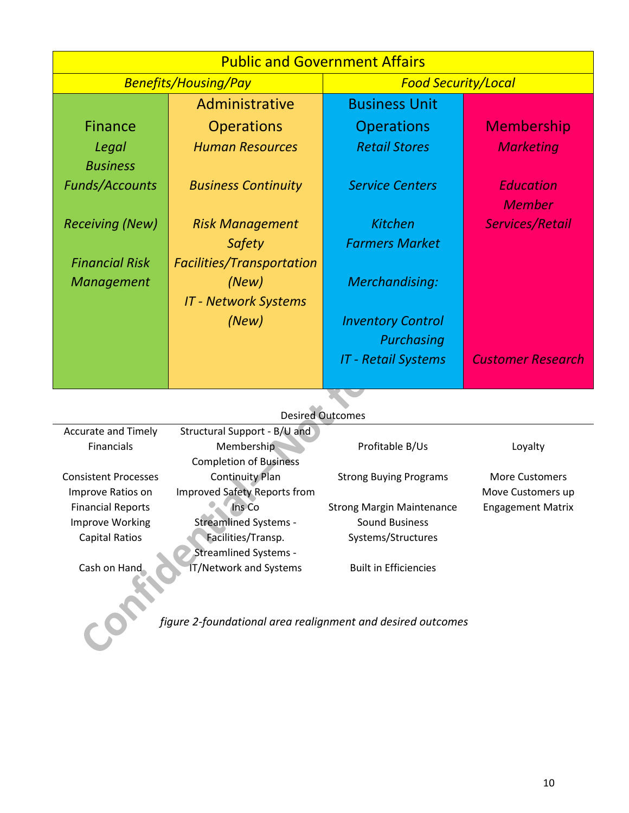| <b>Public and Government Affairs</b> |                                  |                            |                          |  |  |  |
|--------------------------------------|----------------------------------|----------------------------|--------------------------|--|--|--|
| <b>Benefits/Housing/Pay</b>          |                                  | <b>Food Security/Local</b> |                          |  |  |  |
|                                      | Administrative                   | <b>Business Unit</b>       |                          |  |  |  |
| <b>Finance</b>                       | <b>Operations</b>                | <b>Operations</b>          | Membership               |  |  |  |
| Legal                                | <b>Human Resources</b>           | <b>Retail Stores</b>       | <b>Marketing</b>         |  |  |  |
| <b>Business</b>                      |                                  |                            |                          |  |  |  |
| <b>Funds/Accounts</b>                | <b>Business Continuity</b>       | <b>Service Centers</b>     | <b>Education</b>         |  |  |  |
|                                      |                                  |                            | <b>Member</b>            |  |  |  |
| <b>Receiving (New)</b>               | <b>Risk Management</b>           | <b>Kitchen</b>             | Services/Retail          |  |  |  |
|                                      | Safety                           | <b>Farmers Market</b>      |                          |  |  |  |
| <b>Financial Risk</b>                | <b>Facilities/Transportation</b> |                            |                          |  |  |  |
| Management                           | (New)                            | Merchandising:             |                          |  |  |  |
|                                      | <b>IT - Network Systems</b>      |                            |                          |  |  |  |
|                                      | (New)                            | <b>Inventory Control</b>   |                          |  |  |  |
|                                      |                                  | Purchasing                 |                          |  |  |  |
|                                      |                                  | <b>IT - Retail Systems</b> | <b>Customer Research</b> |  |  |  |
|                                      |                                  |                            |                          |  |  |  |

## Desired Outcomes

| <b>Accurate and Timely</b>  | Structural Support - B/U and        |                                  |                          |
|-----------------------------|-------------------------------------|----------------------------------|--------------------------|
| <b>Financials</b>           | Membership                          | Profitable B/Us                  | Loyalty                  |
|                             | <b>Completion of Business</b>       |                                  |                          |
| <b>Consistent Processes</b> | <b>Continuity Plan</b>              | <b>Strong Buying Programs</b>    | <b>More Customers</b>    |
| Improve Ratios on           | <b>Improved Safety Reports from</b> |                                  | Move Customers up        |
| <b>Financial Reports</b>    | Ins Co                              | <b>Strong Margin Maintenance</b> | <b>Engagement Matrix</b> |
| Improve Working             | <b>Streamlined Systems -</b>        | <b>Sound Business</b>            |                          |
| <b>Capital Ratios</b>       | Facilities/Transp.                  | Systems/Structures               |                          |
|                             | <b>Streamlined Systems -</b>        |                                  |                          |
| Cash on Hand                | <b>IT/Network and Systems</b>       | <b>Built in Efficiencies</b>     |                          |

*figure 2-foundational area realignment and desired outcomes*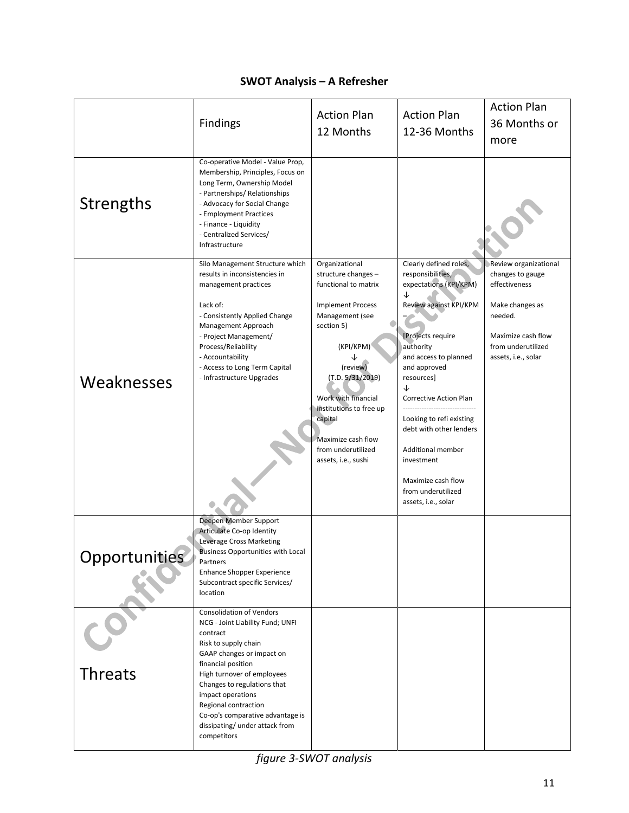## **SWOT Analysis – A Refresher**

|                | Findings                                                                                                                                                                                                                                                                                                                                                  | <b>Action Plan</b><br>12 Months                                                                                                                                                                                                                                                                         | <b>Action Plan</b><br>12-36 Months                                                                                                                                                                                                                                                                                                                                                        | <b>Action Plan</b><br>36 Months or<br>more                                                                                                                  |
|----------------|-----------------------------------------------------------------------------------------------------------------------------------------------------------------------------------------------------------------------------------------------------------------------------------------------------------------------------------------------------------|---------------------------------------------------------------------------------------------------------------------------------------------------------------------------------------------------------------------------------------------------------------------------------------------------------|-------------------------------------------------------------------------------------------------------------------------------------------------------------------------------------------------------------------------------------------------------------------------------------------------------------------------------------------------------------------------------------------|-------------------------------------------------------------------------------------------------------------------------------------------------------------|
| Strengths      | Co-operative Model - Value Prop,<br>Membership, Principles, Focus on<br>Long Term, Ownership Model<br>- Partnerships/ Relationships<br>- Advocacy for Social Change<br>- Employment Practices<br>- Finance - Liquidity<br>- Centralized Services/<br>Infrastructure                                                                                       |                                                                                                                                                                                                                                                                                                         |                                                                                                                                                                                                                                                                                                                                                                                           |                                                                                                                                                             |
| Weaknesses     | Silo Management Structure which<br>results in inconsistencies in<br>management practices<br>Lack of:<br>- Consistently Applied Change<br>Management Approach<br>- Project Management/<br>Process/Reliability<br>- Accountability<br>- Access to Long Term Capital<br>- Infrastructure Upgrades                                                            | Organizational<br>structure changes -<br>functional to matrix<br><b>Implement Process</b><br>Management (see<br>section 5)<br>(KPI/KPM)<br>(review)<br>(T.D. 5/31/2019)<br>Work with financial<br>institutions to free up<br>capital<br>Maximize cash flow<br>from underutilized<br>assets, i.e., sushi | Clearly defined roles,<br>responsibilities,<br>expectations (KPI/KPM)<br>↓<br>Review against KPI/KPM<br>[Projects require<br>authority<br>and access to planned<br>and approved<br>resources]<br>↓<br>Corrective Action Plan<br>Looking to refi existing<br>debt with other lenders<br>Additional member<br>investment<br>Maximize cash flow<br>from underutilized<br>assets, i.e., solar | Review organizational<br>changes to gauge<br>effectiveness<br>Make changes as<br>needed.<br>Maximize cash flow<br>from underutilized<br>assets, i.e., solar |
| Opportunities  | Deepen Member Support<br>Articulate Co-op Identity<br>Leverage Cross Marketing<br><b>Business Opportunities with Local</b><br>Partners<br><b>Enhance Shopper Experience</b><br>Subcontract specific Services/<br>location                                                                                                                                 |                                                                                                                                                                                                                                                                                                         |                                                                                                                                                                                                                                                                                                                                                                                           |                                                                                                                                                             |
| <b>Threats</b> | <b>Consolidation of Vendors</b><br>NCG - Joint Liability Fund; UNFI<br>contract<br>Risk to supply chain<br>GAAP changes or impact on<br>financial position<br>High turnover of employees<br>Changes to regulations that<br>impact operations<br>Regional contraction<br>Co-op's comparative advantage is<br>dissipating/ under attack from<br>competitors |                                                                                                                                                                                                                                                                                                         |                                                                                                                                                                                                                                                                                                                                                                                           |                                                                                                                                                             |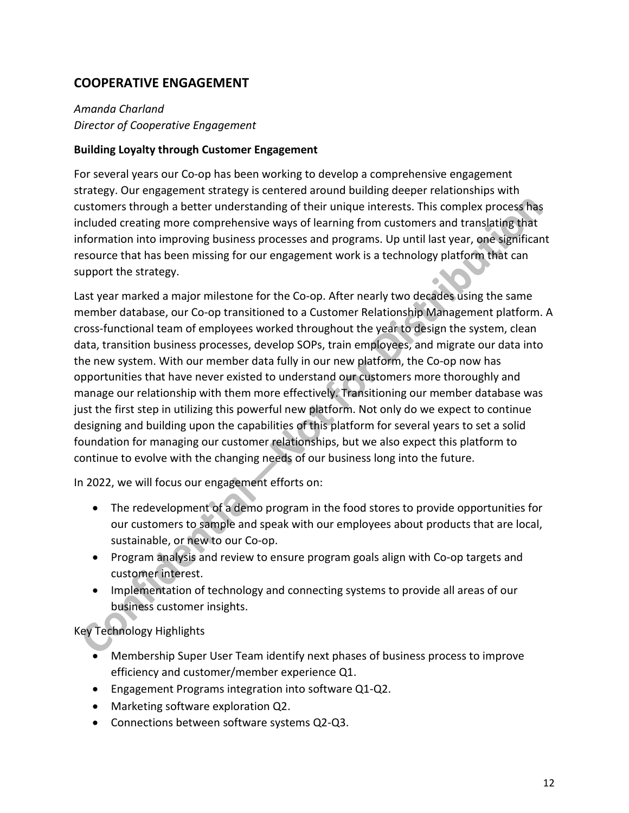## **COOPERATIVE ENGAGEMENT**

### *Amanda Charland Director of Cooperative Engagement*

#### **Building Loyalty through Customer Engagement**

For several years our Co-op has been working to develop a comprehensive engagement strategy. Our engagement strategy is centered around building deeper relationships with customers through a better understanding of their unique interests. This complex process has included creating more comprehensive ways of learning from customers and translating that information into improving business processes and programs. Up until last year, one significant resource that has been missing for our engagement work is a technology platform that can support the strategy.

Last year marked a major milestone for the Co-op. After nearly two decades using the same member database, our Co-op transitioned to a Customer Relationship Management platform. A cross-functional team of employees worked throughout the year to design the system, clean data, transition business processes, develop SOPs, train employees, and migrate our data into the new system. With our member data fully in our new platform, the Co-op now has opportunities that have never existed to understand our customers more thoroughly and manage our relationship with them more effectively. Transitioning our member database was just the first step in utilizing this powerful new platform. Not only do we expect to continue designing and building upon the capabilities of this platform for several years to set a solid foundation for managing our customer relationships, but we also expect this platform to continue to evolve with the changing needs of our business long into the future.

In 2022, we will focus our engagement efforts on:

- The redevelopment of a demo program in the food stores to provide opportunities for our customers to sample and speak with our employees about products that are local, sustainable, or new to our Co-op.
- Program analysis and review to ensure program goals align with Co-op targets and customer interest.
- Implementation of technology and connecting systems to provide all areas of our business customer insights.

Key Technology Highlights

- Membership Super User Team identify next phases of business process to improve efficiency and customer/member experience Q1.
- Engagement Programs integration into software Q1-Q2.
- Marketing software exploration Q2.
- Connections between software systems Q2-Q3.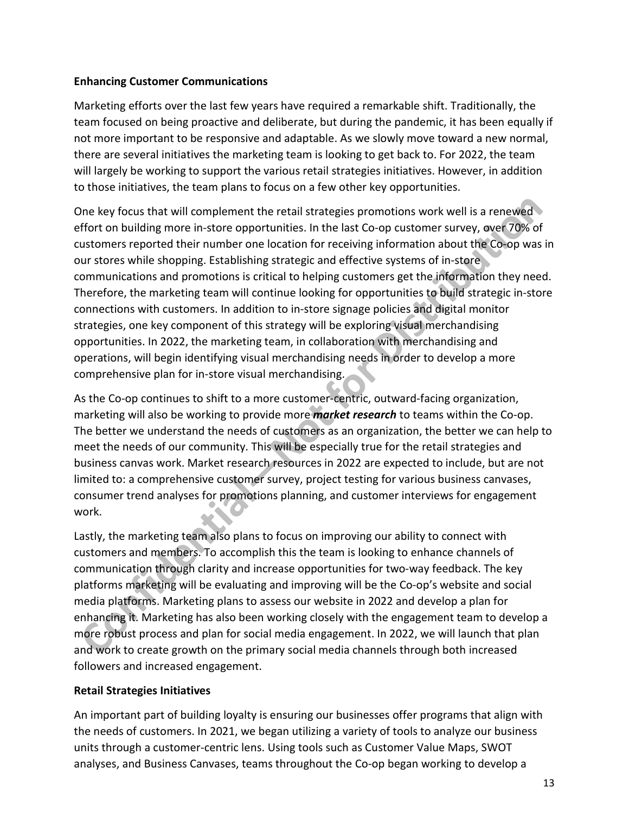#### **Enhancing Customer Communications**

Marketing efforts over the last few years have required a remarkable shift. Traditionally, the team focused on being proactive and deliberate, but during the pandemic, it has been equally if not more important to be responsive and adaptable. As we slowly move toward a new normal, there are several initiatives the marketing team is looking to get back to. For 2022, the team will largely be working to support the various retail strategies initiatives. However, in addition to those initiatives, the team plans to focus on a few other key opportunities.

One key focus that will complement the retail strategies promotions work well is a renewed effort on building more in-store opportunities. In the last Co-op customer survey, over 70% of customers reported their number one location for receiving information about the Co-op was in our stores while shopping. Establishing strategic and effective systems of in-store communications and promotions is critical to helping customers get the information they need. Therefore, the marketing team will continue looking for opportunities to build strategic in-store connections with customers. In addition to in-store signage policies and digital monitor strategies, one key component of this strategy will be exploring visual merchandising opportunities. In 2022, the marketing team, in collaboration with merchandising and operations, will begin identifying visual merchandising needs in order to develop a more comprehensive plan for in-store visual merchandising.

As the Co-op continues to shift to a more customer-centric, outward-facing organization, marketing will also be working to provide more *market research* to teams within the Co-op. The better we understand the needs of customers as an organization, the better we can help to meet the needs of our community. This will be especially true for the retail strategies and business canvas work. Market research resources in 2022 are expected to include, but are not limited to: a comprehensive customer survey, project testing for various business canvases, consumer trend analyses for promotions planning, and customer interviews for engagement work.

Lastly, the marketing team also plans to focus on improving our ability to connect with customers and members. To accomplish this the team is looking to enhance channels of communication through clarity and increase opportunities for two-way feedback. The key platforms marketing will be evaluating and improving will be the Co-op's website and social media platforms. Marketing plans to assess our website in 2022 and develop a plan for enhancing it. Marketing has also been working closely with the engagement team to develop a more robust process and plan for social media engagement. In 2022, we will launch that plan and work to create growth on the primary social media channels through both increased followers and increased engagement.

#### **Retail Strategies Initiatives**

An important part of building loyalty is ensuring our businesses offer programs that align with the needs of customers. In 2021, we began utilizing a variety of tools to analyze our business units through a customer-centric lens. Using tools such as Customer Value Maps, SWOT analyses, and Business Canvases, teams throughout the Co-op began working to develop a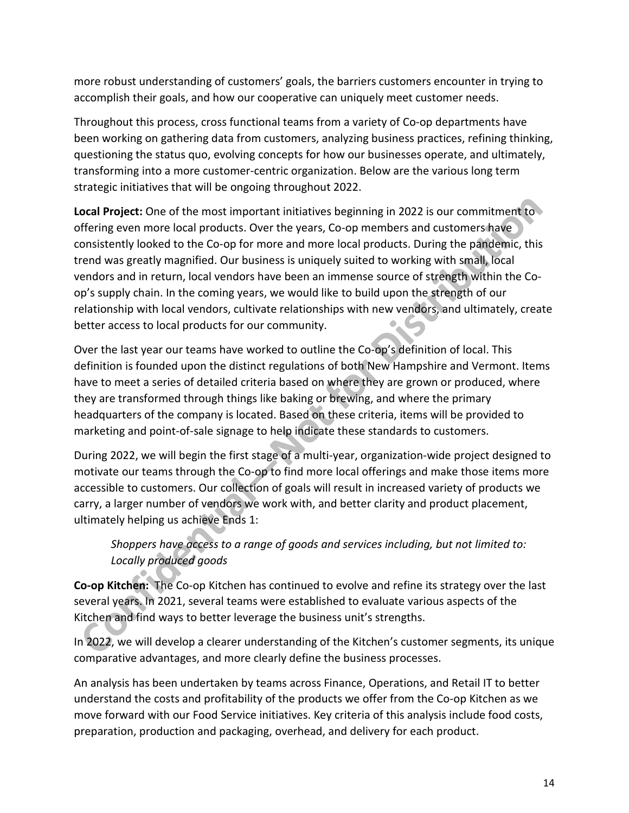more robust understanding of customers' goals, the barriers customers encounter in trying to accomplish their goals, and how our cooperative can uniquely meet customer needs.

Throughout this process, cross functional teams from a variety of Co-op departments have been working on gathering data from customers, analyzing business practices, refining thinking, questioning the status quo, evolving concepts for how our businesses operate, and ultimately, transforming into a more customer-centric organization. Below are the various long term strategic initiatives that will be ongoing throughout 2022.

**Local Project:** One of the most important initiatives beginning in 2022 is our commitment to offering even more local products. Over the years, Co-op members and customers have consistently looked to the Co-op for more and more local products. During the pandemic, this trend was greatly magnified. Our business is uniquely suited to working with small, local vendors and in return, local vendors have been an immense source of strength within the Coop's supply chain. In the coming years, we would like to build upon the strength of our relationship with local vendors, cultivate relationships with new vendors, and ultimately, create **Contract** better access to local products for our community.

Over the last year our teams have worked to outline the Co-op's definition of local. This definition is founded upon the distinct regulations of both New Hampshire and Vermont. Items have to meet a series of detailed criteria based on where they are grown or produced, where they are transformed through things like baking or brewing, and where the primary headquarters of the company is located. Based on these criteria, items will be provided to marketing and point-of-sale signage to help indicate these standards to customers.

During 2022, we will begin the first stage of a multi-year, organization-wide project designed to motivate our teams through the Co-op to find more local offerings and make those items more accessible to customers. Our collection of goals will result in increased variety of products we carry, a larger number of vendors we work with, and better clarity and product placement, ultimately helping us achieve Ends 1:

## *Shoppers have access to a range of goods and services including, but not limited to: Locally produced goods*

**Co-op Kitchen:** The Co-op Kitchen has continued to evolve and refine its strategy over the last several years. In 2021, several teams were established to evaluate various aspects of the Kitchen and find ways to better leverage the business unit's strengths.

In 2022, we will develop a clearer understanding of the Kitchen's customer segments, its unique comparative advantages, and more clearly define the business processes.

An analysis has been undertaken by teams across Finance, Operations, and Retail IT to better understand the costs and profitability of the products we offer from the Co-op Kitchen as we move forward with our Food Service initiatives. Key criteria of this analysis include food costs, preparation, production and packaging, overhead, and delivery for each product.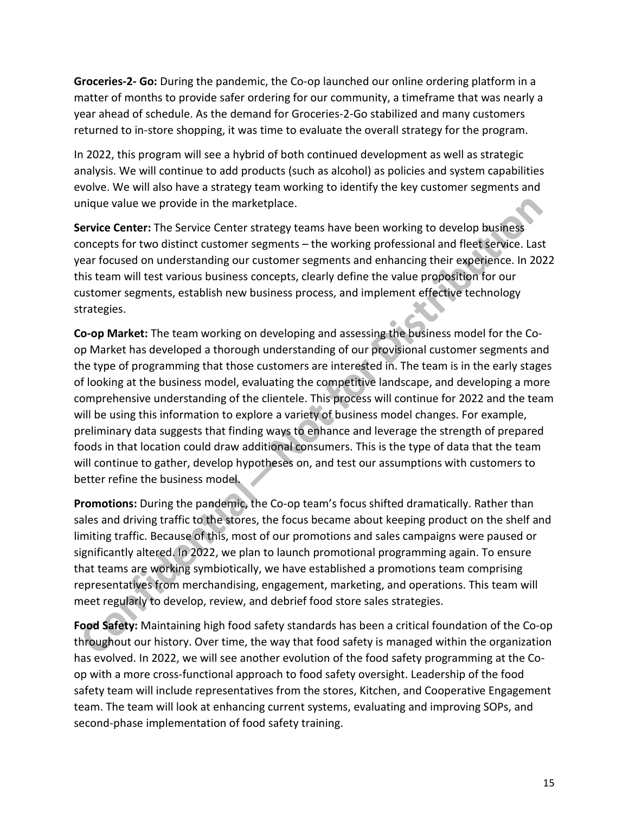**Groceries-2- Go:** During the pandemic, the Co-op launched our online ordering platform in a matter of months to provide safer ordering for our community, a timeframe that was nearly a year ahead of schedule. As the demand for Groceries-2-Go stabilized and many customers returned to in-store shopping, it was time to evaluate the overall strategy for the program.

In 2022, this program will see a hybrid of both continued development as well as strategic analysis. We will continue to add products (such as alcohol) as policies and system capabilities evolve. We will also have a strategy team working to identify the key customer segments and unique value we provide in the marketplace.

**Service Center:** The Service Center strategy teams have been working to develop business concepts for two distinct customer segments – the working professional and fleet service. Last year focused on understanding our customer segments and enhancing their experience. In 2022 this team will test various business concepts, clearly define the value proposition for our customer segments, establish new business process, and implement effective technology strategies.

**Co-op Market:** The team working on developing and assessing the business model for the Coop Market has developed a thorough understanding of our provisional customer segments and the type of programming that those customers are interested in. The team is in the early stages of looking at the business model, evaluating the competitive landscape, and developing a more comprehensive understanding of the clientele. This process will continue for 2022 and the team will be using this information to explore a variety of business model changes. For example, preliminary data suggests that finding ways to enhance and leverage the strength of prepared foods in that location could draw additional consumers. This is the type of data that the team will continue to gather, develop hypotheses on, and test our assumptions with customers to better refine the business model.

**Promotions:** During the pandemic, the Co-op team's focus shifted dramatically. Rather than sales and driving traffic to the stores, the focus became about keeping product on the shelf and limiting traffic. Because of this, most of our promotions and sales campaigns were paused or significantly altered. In 2022, we plan to launch promotional programming again. To ensure that teams are working symbiotically, we have established a promotions team comprising representatives from merchandising, engagement, marketing, and operations. This team will meet regularly to develop, review, and debrief food store sales strategies.

**Food Safety:** Maintaining high food safety standards has been a critical foundation of the Co-op throughout our history. Over time, the way that food safety is managed within the organization has evolved. In 2022, we will see another evolution of the food safety programming at the Coop with a more cross-functional approach to food safety oversight. Leadership of the food safety team will include representatives from the stores, Kitchen, and Cooperative Engagement team. The team will look at enhancing current systems, evaluating and improving SOPs, and second-phase implementation of food safety training.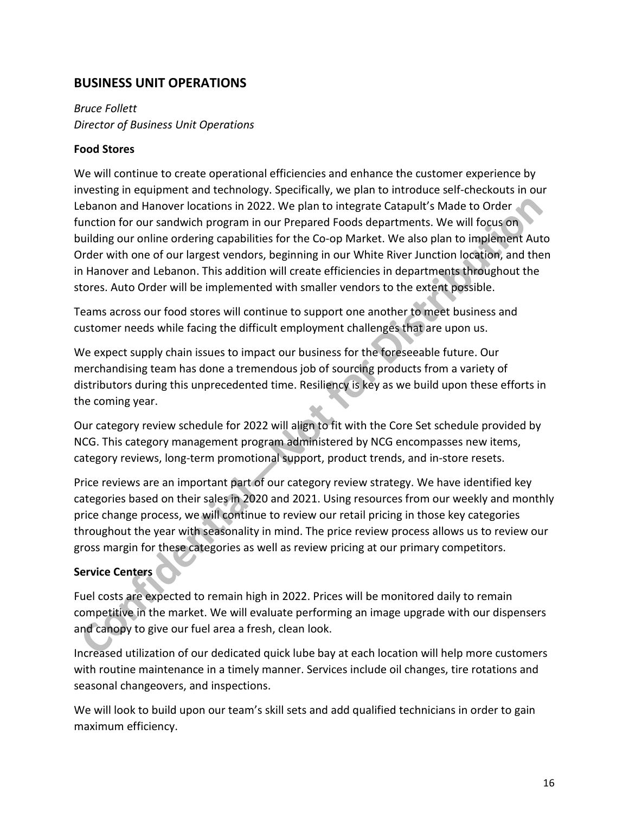## **BUSINESS UNIT OPERATIONS**

*Bruce Follett Director of Business Unit Operations*

#### **Food Stores**

We will continue to create operational efficiencies and enhance the customer experience by investing in equipment and technology. Specifically, we plan to introduce self-checkouts in our Lebanon and Hanover locations in 2022. We plan to integrate Catapult's Made to Order function for our sandwich program in our Prepared Foods departments. We will focus on building our online ordering capabilities for the Co-op Market. We also plan to implement Auto Order with one of our largest vendors, beginning in our White River Junction location, and then in Hanover and Lebanon. This addition will create efficiencies in departments throughout the stores. Auto Order will be implemented with smaller vendors to the extent possible.

Teams across our food stores will continue to support one another to meet business and customer needs while facing the difficult employment challenges that are upon us.

We expect supply chain issues to impact our business for the foreseeable future. Our merchandising team has done a tremendous job of sourcing products from a variety of distributors during this unprecedented time. Resiliency is key as we build upon these efforts in the coming year.

Our category review schedule for 2022 will align to fit with the Core Set schedule provided by NCG. This category management program administered by NCG encompasses new items, category reviews, long-term promotional support, product trends, and in-store resets.

Price reviews are an important part of our category review strategy. We have identified key categories based on their sales in 2020 and 2021. Using resources from our weekly and monthly price change process, we will continue to review our retail pricing in those key categories throughout the year with seasonality in mind. The price review process allows us to review our gross margin for these categories as well as review pricing at our primary competitors.

#### **Service Centers**

Fuel costs are expected to remain high in 2022. Prices will be monitored daily to remain competitive in the market. We will evaluate performing an image upgrade with our dispensers and canopy to give our fuel area a fresh, clean look.

Increased utilization of our dedicated quick lube bay at each location will help more customers with routine maintenance in a timely manner. Services include oil changes, tire rotations and seasonal changeovers, and inspections.

We will look to build upon our team's skill sets and add qualified technicians in order to gain maximum efficiency.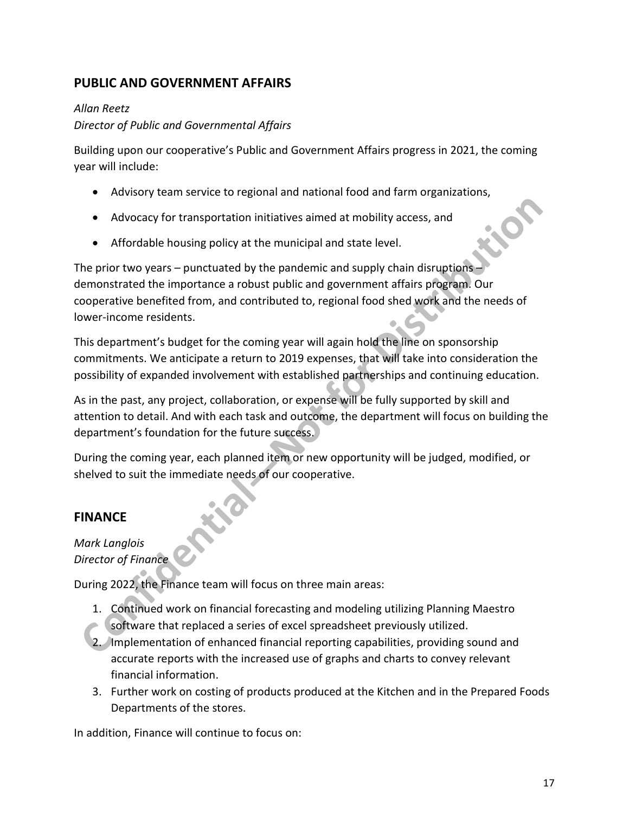## **PUBLIC AND GOVERNMENT AFFAIRS**

#### *Allan Reetz*

#### *Director of Public and Governmental Affairs*

Building upon our cooperative's Public and Government Affairs progress in 2021, the coming year will include:

- Advisory team service to regional and national food and farm organizations,
- Advocacy for transportation initiatives aimed at mobility access, and
- Affordable housing policy at the municipal and state level.

The prior two years – punctuated by the pandemic and supply chain disruptions – demonstrated the importance a robust public and government affairs program. Our cooperative benefited from, and contributed to, regional food shed work and the needs of lower-income residents.

This department's budget for the coming year will again hold the line on sponsorship commitments. We anticipate a return to 2019 expenses, that will take into consideration the possibility of expanded involvement with established partnerships and continuing education.

As in the past, any project, collaboration, or expense will be fully supported by skill and attention to detail. And with each task and outcome, the department will focus on building the department's foundation for the future success.

During the coming year, each planned item or new opportunity will be judged, modified, or shelved to suit the immediate needs of our cooperative.

## **FINANCE**

## *Mark Langlois Director of Finance*

During 2022, the Finance team will focus on three main areas:

- 1. Continued work on financial forecasting and modeling utilizing Planning Maestro
- software that replaced a series of excel spreadsheet previously utilized.
- 2. Implementation of enhanced financial reporting capabilities, providing sound and accurate reports with the increased use of graphs and charts to convey relevant financial information.
- 3. Further work on costing of products produced at the Kitchen and in the Prepared Foods Departments of the stores.

In addition, Finance will continue to focus on: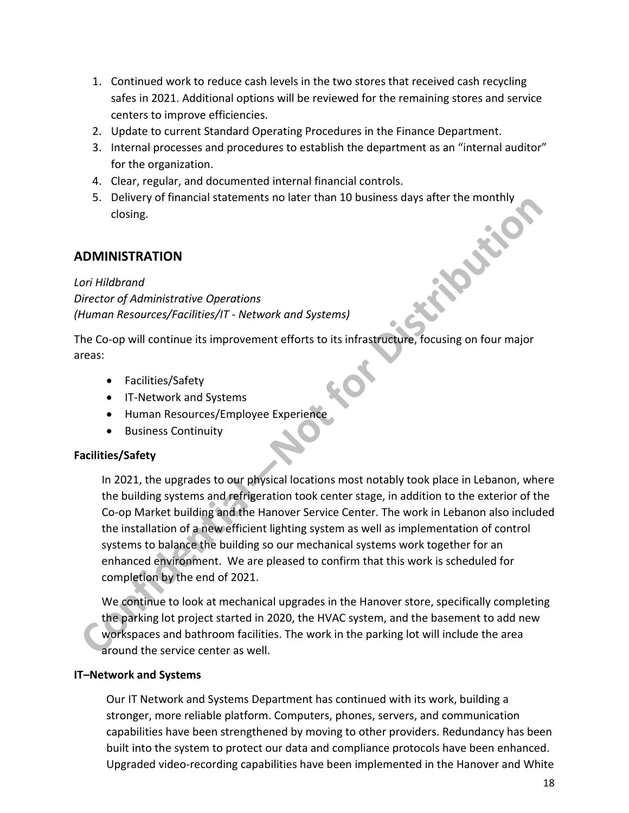- 1. Continued work to reduce cash levels in the two stores that received cash recycling safes in 2021. Additional options will be reviewed for the remaining stores and service centers to improve efficiencies.
- 2. Update to current Standard Operating Procedures in the Finance Department.
- 3. Internal processes and procedures to establish the department as an "internal auditor" for the organization.
- 4. Clear, regular, and documented internal financial controls.
- 5. Delivery of financial statements no later than 10 business days after the monthly closing.<br> **MINISTRATION**<br>
Hildbrand<br> *ector of Admini* closing.

## **ADMINISTRATION**

*Lori Hildbrand Director of Administrative Operations (Human Resources/Facilities/IT - Network and Systems)*

The Co-op will continue its improvement efforts to its infrastructure, focusing on four major areas:

- Facilities/Safety
- IT-Network and Systems
- Human Resources/Employee Experience
- Business Continuity

#### **Facilities/Safety**

In 2021, the upgrades to our physical locations most notably took place in Lebanon, where the building systems and refrigeration took center stage, in addition to the exterior of the Co-op Market building and the Hanover Service Center. The work in Lebanon also included the installation of a new efficient lighting system as well as implementation of control systems to balance the building so our mechanical systems work together for an enhanced environment. We are pleased to confirm that this work is scheduled for completion by the end of 2021.

We continue to look at mechanical upgrades in the Hanover store, specifically completing the parking lot project started in 2020, the HVAC system, and the basement to add new workspaces and bathroom facilities. The work in the parking lot will include the area around the service center as well.

#### **IT–Network and Systems**

Our IT Network and Systems Department has continued with its work, building a stronger, more reliable platform. Computers, phones, servers, and communication capabilities have been strengthened by moving to other providers. Redundancy has been built into the system to protect our data and compliance protocols have been enhanced. Upgraded video-recording capabilities have been implemented in the Hanover and White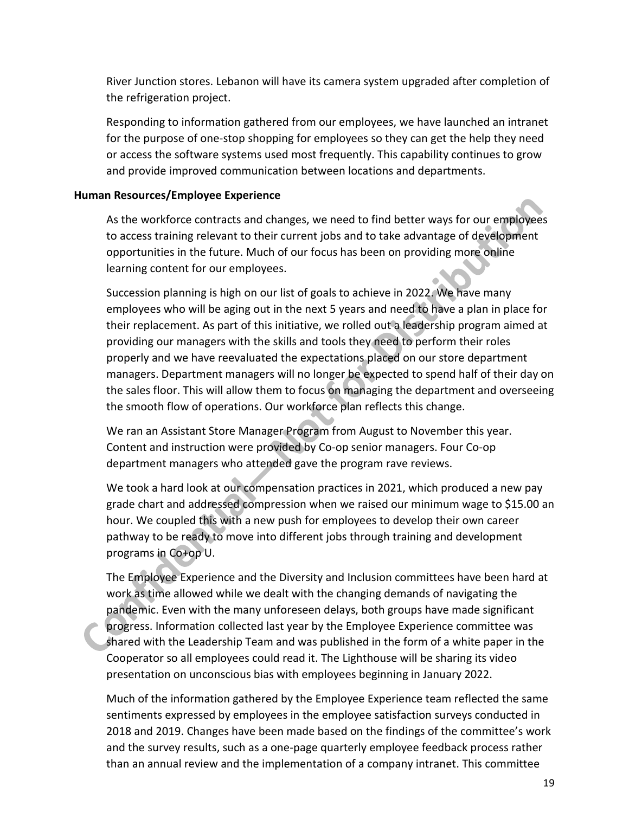River Junction stores. Lebanon will have its camera system upgraded after completion of the refrigeration project.

Responding to information gathered from our employees, we have launched an intranet for the purpose of one-stop shopping for employees so they can get the help they need or access the software systems used most frequently. This capability continues to grow and provide improved communication between locations and departments.

#### **Human Resources/Employee Experience**

As the workforce contracts and changes, we need to find better ways for our employees to access training relevant to their current jobs and to take advantage of development opportunities in the future. Much of our focus has been on providing more online learning content for our employees.

Succession planning is high on our list of goals to achieve in 2022. We have many employees who will be aging out in the next 5 years and need to have a plan in place for their replacement. As part of this initiative, we rolled out a leadership program aimed at providing our managers with the skills and tools they need to perform their roles properly and we have reevaluated the expectations placed on our store department managers. Department managers will no longer be expected to spend half of their day on the sales floor. This will allow them to focus on managing the department and overseeing the smooth flow of operations. Our workforce plan reflects this change.

We ran an Assistant Store Manager Program from August to November this year. Content and instruction were provided by Co-op senior managers. Four Co-op department managers who attended gave the program rave reviews.

We took a hard look at our compensation practices in 2021, which produced a new pay grade chart and addressed compression when we raised our minimum wage to \$15.00 an hour. We coupled this with a new push for employees to develop their own career pathway to be ready to move into different jobs through training and development programs in Co+op U.

The Employee Experience and the Diversity and Inclusion committees have been hard at work as time allowed while we dealt with the changing demands of navigating the pandemic. Even with the many unforeseen delays, both groups have made significant progress. Information collected last year by the Employee Experience committee was shared with the Leadership Team and was published in the form of a white paper in the Cooperator so all employees could read it. The Lighthouse will be sharing its video presentation on unconscious bias with employees beginning in January 2022.

Much of the information gathered by the Employee Experience team reflected the same sentiments expressed by employees in the employee satisfaction surveys conducted in 2018 and 2019. Changes have been made based on the findings of the committee's work and the survey results, such as a one-page quarterly employee feedback process rather than an annual review and the implementation of a company intranet. This committee